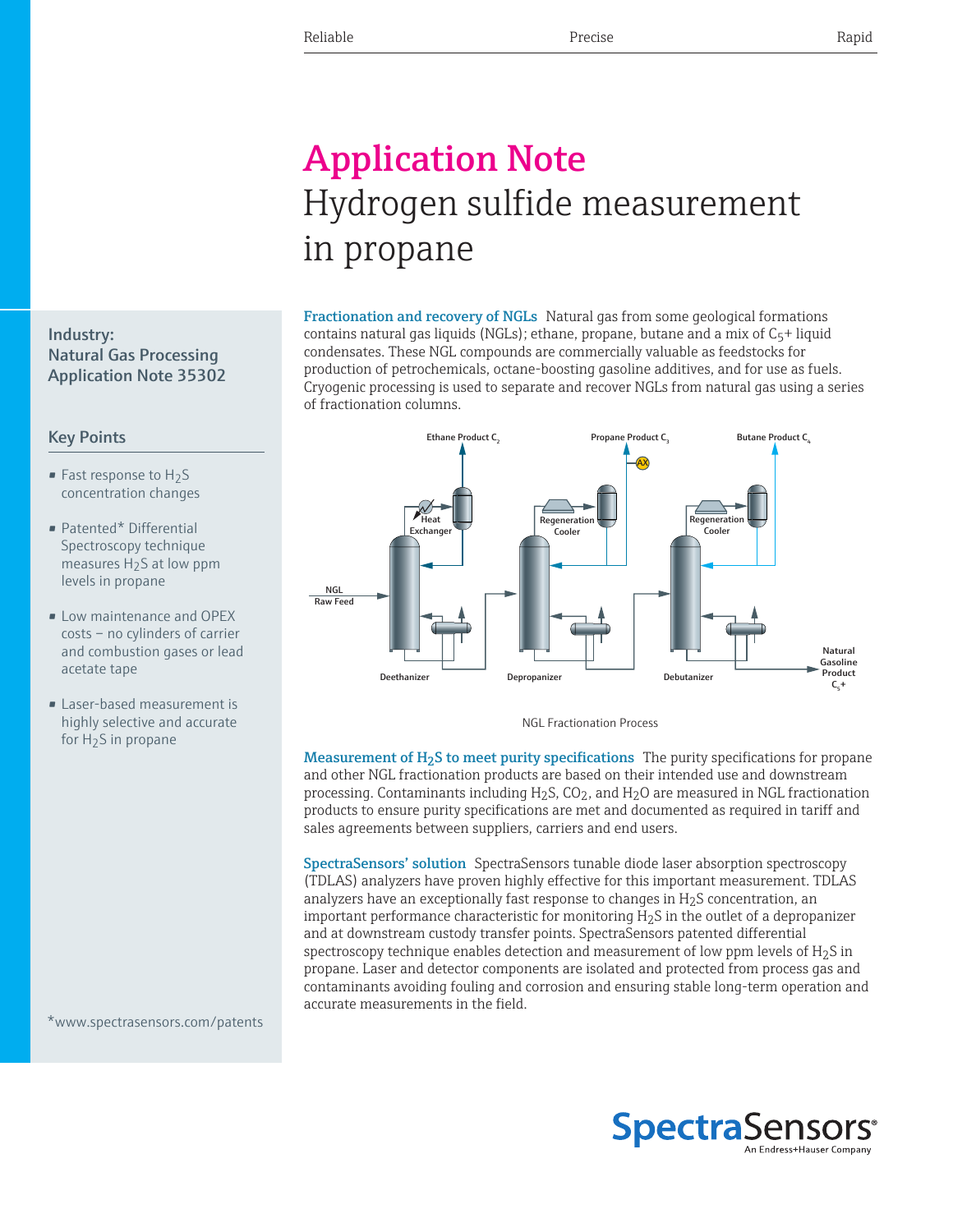## Application Note Hydrogen sulfide measurement in propane

Fractionation and recovery of NGLs Natural gas from some geological formations contains natural gas liquids (NGLs); ethane, propane, butane and a mix of  $C_5$ + liquid condensates. These NGL compounds are commercially valuable as feedstocks for production of petrochemicals, octane-boosting gasoline additives, and for use as fuels. Cryogenic processing is used to separate and recover NGLs from natural gas using a series of fractionation columns.



NGL Fractionation Process

Measurement of  $H_2S$  to meet purity specifications The purity specifications for propane and other NGL fractionation products are based on their intended use and downstream processing. Contaminants including  $H_2S$ , CO<sub>2</sub>, and  $H_2O$  are measured in NGL fractionation products to ensure purity specifications are met and documented as required in tariff and sales agreements between suppliers, carriers and end users.

SpectraSensors' solution SpectraSensors tunable diode laser absorption spectroscopy (TDLAS) analyzers have proven highly effective for this important measurement. TDLAS analyzers have an exceptionally fast response to changes in  $H_2S$  concentration, an important performance characteristic for monitoring  $H_2S$  in the outlet of a depropanizer and at downstream custody transfer points. SpectraSensors patented differential spectroscopy technique enables detection and measurement of low ppm levels of  $H_2S$  in propane. Laser and detector components are isolated and protected from process gas and contaminants avoiding fouling and corrosion and ensuring stable long-term operation and accurate measurements in the field.



## Key Points

- **Fast response to**  $H_2S$ concentration changes
- Patented\* Differential Spectroscopy technique measures  $H_2S$  at low ppm levels in propane
- Low maintenance and OPEX costs – no cylinders of carrier and combustion gases or lead acetate tape
- Laser-based measurement is highly selective and accurate for  $H<sub>2</sub>S$  in propane

\*www.spectrasensors.com/patents